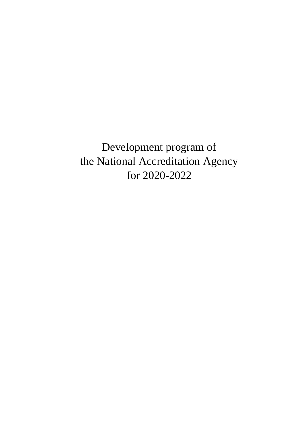Development program of the National Accreditation Agency for 2020-2022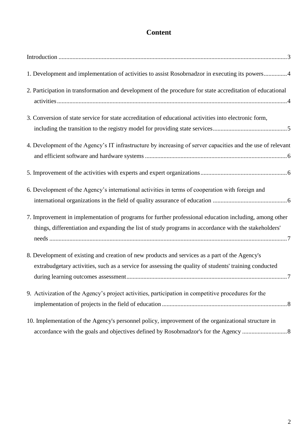## **Content**

| 1. Development and implementation of activities to assist Rosobrnadzor in executing its powers4                                                                                                                 |
|-----------------------------------------------------------------------------------------------------------------------------------------------------------------------------------------------------------------|
| 2. Participation in transformation and development of the procedure for state accreditation of educational                                                                                                      |
| 3. Conversion of state service for state accreditation of educational activities into electronic form,                                                                                                          |
|                                                                                                                                                                                                                 |
| 4. Development of the Agency's IT infrastructure by increasing of server capacities and the use of relevant                                                                                                     |
|                                                                                                                                                                                                                 |
| 6. Development of the Agency's international activities in terms of cooperation with foreign and                                                                                                                |
| 7. Improvement in implementation of programs for further professional education including, among other<br>things, differentiation and expanding the list of study programs in accordance with the stakeholders' |
| 8. Development of existing and creation of new products and services as a part of the Agency's<br>extrabudgetary activities, such as a service for assessing the quality of students' training conducted        |
| 9. Activization of the Agency's project activities, participation in competitive procedures for the                                                                                                             |
| 10. Implementation of the Agency's personnel policy, improvement of the organizational structure in                                                                                                             |
|                                                                                                                                                                                                                 |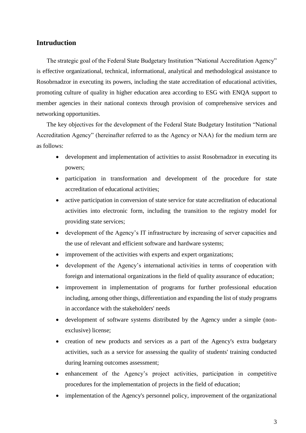#### **Intruduction**

The strategic goal of the Federal State Budgetary Institution "National Accreditation Agency" is effective organizational, technical, informational, analytical and methodological assistance to Rosobrnadzor in executing its powers, including the state accreditation of educational activities, promoting culture of quality in higher education area according to ESG with ENQA support to member agencies in their national contexts through provision of comprehensive services and networking opportunities.

The key objectives for the development of the Federal State Budgetary Institution "National Accreditation Agency" (hereinafter referred to as the Agency or NAA) for the medium term are as follows:

- development and implementation of activities to assist Rosobrnadzor in executing its powers;
- participation in transformation and development of the procedure for state accreditation of educational activities;
- active participation in conversion of state service for state accreditation of educational activities into electronic form, including the transition to the registry model for providing state services;
- development of the Agency's IT infrastructure by increasing of server capacities and the use of relevant and efficient software and hardware systems;
- improvement of the activities with experts and expert organizations;
- development of the Agency's international activities in terms of cooperation with foreign and international organizations in the field of quality assurance of education;
- improvement in implementation of programs for further professional education including, among other things, differentiation and expanding the list of study programs in accordance with the stakeholders' needs
- development of software systems distributed by the Agency under a simple (nonexclusive) license;
- creation of new products and services as a part of the Agency's extra budgetary activities, such as a service for assessing the quality of students' training conducted during learning outcomes assessment;
- enhancement of the Agency's project activities, participation in competitive procedures for the implementation of projects in the field of education;
- implementation of the Agency's personnel policy, improvement of the organizational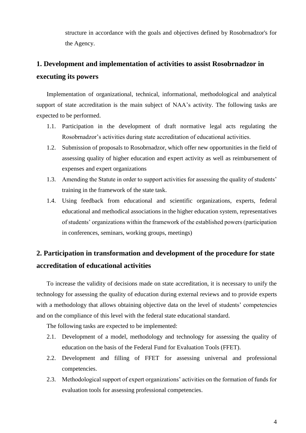structure in accordance with the goals and objectives defined by Rosobrnadzor's for the Agency.

## <span id="page-3-0"></span>**1. Development and implementation of activities to assist Rosobrnadzor in executing its powers**

Implementation of organizational, technical, informational, methodological and analytical support of state accreditation is the main subject of NAA's activity. The following tasks are expected to be performed.

- 1.1. Participation in the development of draft normative legal acts regulating the Rosobrnadzor's activities during state accreditation of educational activities.
- 1.2. Submission of proposals to Rosobrnadzor, which offer new opportunities in the field of assessing quality of higher education and expert activity as well as reimbursement of expenses and expert organizations
- 1.3. Amending the Statute in order to support activities for assessing the quality of students' training in the framework of the state task.
- 1.4. Using feedback from educational and scientific organizations, experts, federal educational and methodical associations in the higher education system, representatives of students' organizations within the framework of the established powers (participation in conferences, seminars, working groups, meetings)

## <span id="page-3-1"></span>**2. Participation in transformation and development of the procedure for state accreditation of educational activities**

To increase the validity of decisions made on state accreditation, it is necessary to unify the technology for assessing the quality of education during external reviews and to provide experts with a methodology that allows obtaining objective data on the level of students' competencies and on the compliance of this level with the federal state educational standard.

The following tasks are expected to be implemented:

- 2.1. Development of a model, methodology and technology for assessing the quality of education on the basis of the Federal Fund for Evaluation Tools (FFET).
- 2.2. Development and filling of FFET for assessing universal and professional competencies.
- 2.3. Methodological support of expert organizations' activities on the formation of funds for evaluation tools for assessing professional competencies.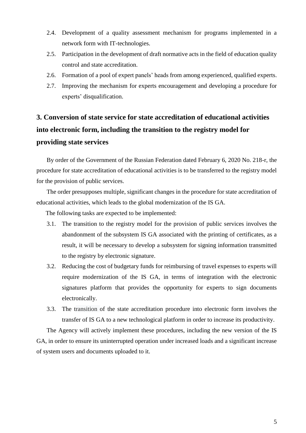- 2.4. Development of a quality assessment mechanism for programs implemented in a network form with IT-technologies.
- 2.5. Participation in the development of draft normative acts in the field of education quality control and state accreditation.
- 2.6. Formation of a pool of expert panels' heads from among experienced, qualified experts.
- 2.7. Improving the mechanism for experts encouragement and developing a procedure for experts' disqualification.

# <span id="page-4-0"></span>**3. Conversion of state service for state accreditation of educational activities into electronic form, including the transition to the registry model for providing state services**

By order of the Government of the Russian Federation dated February 6, 2020 No. 218-r, the procedure for state accreditation of educational activities is to be transferred to the registry model for the provision of public services.

The order presupposes multiple, significant changes in the procedure for state accreditation of educational activities, which leads to the global modernization of the IS GA.

The following tasks are expected to be implemented:

- 3.1. The transition to the registry model for the provision of public services involves the abandonment of the subsystem IS GA associated with the printing of certificates, as a result, it will be necessary to develop a subsystem for signing information transmitted to the registry by electronic signature.
- 3.2. Reducing the cost of budgetary funds for reimbursing of travel expenses to experts will require modernization of the IS GA, in terms of integration with the electronic signatures platform that provides the opportunity for experts to sign documents electronically.
- 3.3. The transition of the state accreditation procedure into electronic form involves the transfer of IS GA to a new technological platform in order to increase its productivity.

The Agency will actively implement these procedures, including the new version of the IS GA, in order to ensure its uninterrupted operation under increased loads and a significant increase of system users and documents uploaded to it.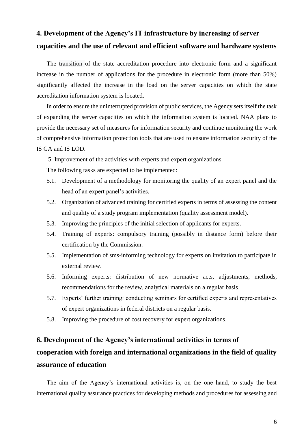## <span id="page-5-0"></span>**4. Development of the Agency's IT infrastructure by increasing of server capacities and the use of relevant and efficient software and hardware systems**

The transition of the state accreditation procedure into electronic form and a significant increase in the number of applications for the procedure in electronic form (more than 50%) significantly affected the increase in the load on the server capacities on which the state accreditation information system is located.

In order to ensure the uninterrupted provision of public services, the Agency sets itself the task of expanding the server capacities on which the information system is located. NAA plans to provide the necessary set of measures for information security and continue monitoring the work of comprehensive information protection tools that are used to ensure information security of the IS GA and IS LOD.

<span id="page-5-1"></span>5. Improvement of the activities with experts and expert organizations

The following tasks are expected to be implemented:

- 5.1. Development of a methodology for monitoring the quality of an expert panel and the head of an expert panel's activities.
- 5.2. Organization of advanced training for certified experts in terms of assessing the content and quality of a study program implementation (quality assessment model).
- 5.3. Improving the principles of the initial selection of applicants for experts.
- 5.4. Training of experts: compulsory training (possibly in distance form) before their certification by the Commission.
- 5.5. Implementation of sms-informing technology for experts on invitation to participate in external review.
- 5.6. Informing experts: distribution of new normative acts, adjustments, methods, recommendations for the review, analytical materials on a regular basis.
- 5.7. Experts' further training: conducting seminars for certified experts and representatives of expert organizations in federal districts on a regular basis.
- 5.8. Improving the procedure of cost recovery for expert organizations.

## <span id="page-5-2"></span>**6. Development of the Agency's international activities in terms of cooperation with foreign and international organizations in the field of quality assurance of education**

The aim of the Agency's international activities is, on the one hand, to study the best international quality assurance practices for developing methods and procedures for assessing and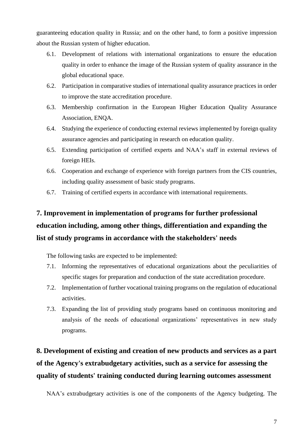guaranteeing education quality in Russia; and on the other hand, to form a positive impression about the Russian system of higher education.

- 6.1. Development of relations with international organizations to ensure the education quality in order to enhance the image of the Russian system of quality assurance in the global educational space.
- 6.2. Participation in comparative studies of international quality assurance practices in order to improve the state accreditation procedure.
- 6.3. Membership confirmation in the European Higher Education Quality Assurance Association, ENQA.
- 6.4. Studying the experience of conducting external reviews implemented by foreign quality assurance agencies and participating in research on education quality.
- 6.5. Extending participation of certified experts and NAA's staff in external reviews of foreign HEIs.
- 6.6. Cooperation and exchange of experience with foreign partners from the CIS countries, including quality assessment of basic study programs.
- 6.7. Training of certified experts in accordance with international requirements.

# <span id="page-6-0"></span>**7. Improvement in implementation of programs for further professional education including, among other things, differentiation and expanding the list of study programs in accordance with the stakeholders' needs**

The following tasks are expected to be implemented:

- 7.1. Informing the representatives of educational organizations about the peculiarities of specific stages for preparation and conduction of the state accreditation procedure.
- 7.2. Implementation of further vocational training programs on the regulation of educational activities.
- 7.3. Expanding the list of providing study programs based on continuous monitoring and analysis of the needs of educational organizations' representatives in new study programs.

# <span id="page-6-1"></span>**8. Development of existing and creation of new products and services as a part of the Agency's extrabudgetary activities, such as a service for assessing the quality of students' training conducted during learning outcomes assessment**

NAA's extrabudgetary activities is one of the components of the Agency budgeting. The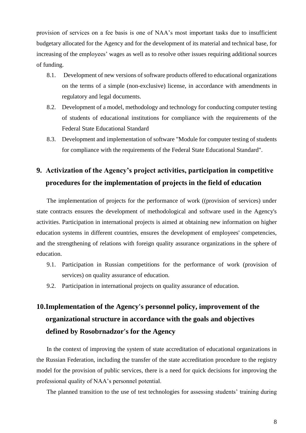provision of services on a fee basis is one of NAA's most important tasks due to insufficient budgetary allocated for the Agency and for the development of its material and technical base, for increasing of the employees' wages as well as to resolve other issues requiring additional sources of funding.

- 8.1. Development of new versions of software products offered to educational organizations on the terms of a simple (non-exclusive) license, in accordance with amendments in regulatory and legal documents.
- 8.2. Development of a model, methodology and technology for conducting computer testing of students of educational institutions for compliance with the requirements of the Federal State Educational Standard
- 8.3. Development and implementation of software "Module for computer testing of students for compliance with the requirements of the Federal State Educational Standard".

## <span id="page-7-0"></span>**9. Activization of the Agency's project activities, participation in competitive procedures for the implementation of projects in the field of education**

The implementation of projects for the performance of work ((provision of services) under state contracts ensures the development of methodological and software used in the Agency's activities. Participation in international projects is aimed at obtaining new information on higher education systems in different countries, ensures the development of employees' competencies, and the strengthening of relations with foreign quality assurance organizations in the sphere of education.

- 9.1. Participation in Russian competitions for the performance of work (provision of services) on quality assurance of education.
- 9.2. Participation in international projects on quality assurance of education.

# <span id="page-7-1"></span>**10.Implementation of the Agency's personnel policy, improvement of the organizational structure in accordance with the goals and objectives defined by Rosobrnadzor's for the Agency**

In the context of improving the system of state accreditation of educational organizations in the Russian Federation, including the transfer of the state accreditation procedure to the registry model for the provision of public services, there is a need for quick decisions for improving the professional quality of NAA's personnel potential.

The planned transition to the use of test technologies for assessing students' training during